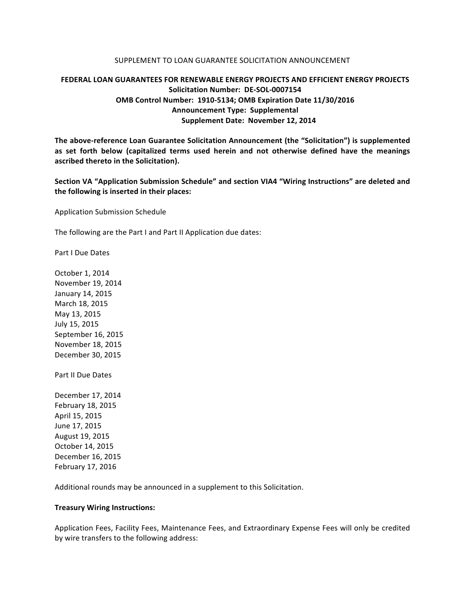## SUPPLEMENT TO LOAN GUARANTEE SOLICITATION ANNOUNCEMENT

## **FEDERAL LOAN GUARANTEES FOR RENEWABLE ENERGY PROJECTS AND EFFICIENT ENERGY PROJECTS Solicitation Number: DE-SOL-0007154 OMB Control Number: 1910-5134; OMB Expiration Date 11/30/2016 Announcement Type: Supplemental Supplement Date: November 12, 2014**

The above-reference Loan Guarantee Solicitation Announcement (the "Solicitation") is supplemented as set forth below (capitalized terms used herein and not otherwise defined have the meanings **ascribed thereto in the Solicitation).**

Section VA "Application Submission Schedule" and section VIA4 "Wiring Instructions" are deleted and the following is inserted in their places:

Application Submission Schedule

The following are the Part I and Part II Application due dates:

Part I Due Dates

October 1, 2014 November 19, 2014 January 14, 2015 March 18, 2015 May 13, 2015 July 15, 2015 September 16, 2015 November 18, 2015 December 30, 2015

Part II Due Dates

December 17, 2014 February 18, 2015 April 15, 2015 June 17, 2015 August 19, 2015 October 14, 2015 December 16, 2015 February 17, 2016

Additional rounds may be announced in a supplement to this Solicitation.

## **Treasury Wiring Instructions:**

Application Fees, Facility Fees, Maintenance Fees, and Extraordinary Expense Fees will only be credited by wire transfers to the following address: